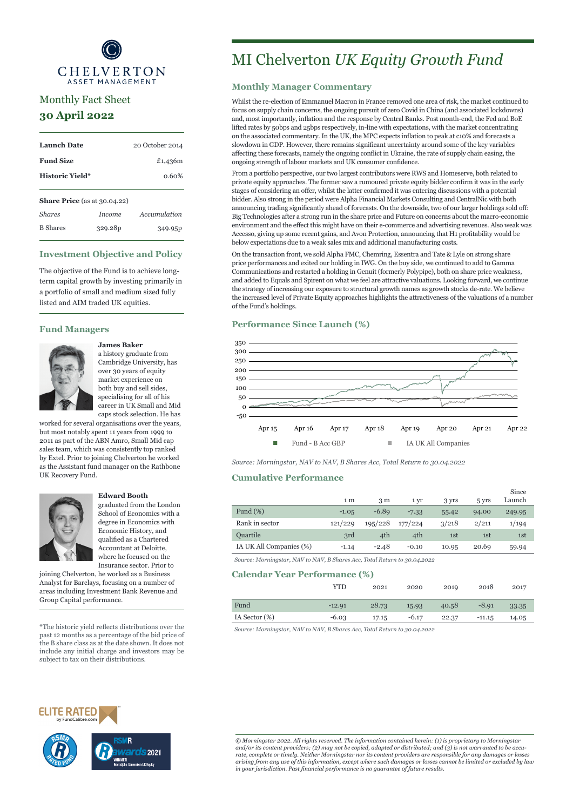

# Monthly Fact Sheet **30 April 2022**

| <b>Launch Date</b>                     |                     | 20 October 2014 |  |  |
|----------------------------------------|---------------------|-----------------|--|--|
| <b>Fund Size</b>                       |                     | £1,4,36m        |  |  |
| <b>Historic Yield*</b>                 |                     | 0.60%           |  |  |
| <b>Share Price</b> (as at $30.04.22$ ) |                     |                 |  |  |
| <b>Shares</b>                          | <i>Income</i>       | Accumulation    |  |  |
| <b>B</b> Shares                        | 329.28 <sub>p</sub> | 349.95P         |  |  |

# **Investment Objective and Policy**

The objective of the Fund is to achieve longterm capital growth by investing primarily in a portfolio of small and medium sized fully listed and AIM traded UK equities.

### **Fund Managers**



# **James Baker**

a history graduate from Cambridge University, has over 30 years of equity market experience on both buy and sell sides, specialising for all of his career in UK Small and Mid caps stock selection. He has

worked for several organisations over the years, but most notably spent 11 years from 1999 to 2011 as part of the ABN Amro, Small Mid cap sales team, which was consistently top ranked by Extel. Prior to joining Chelverton he worked as the Assistant fund manager on the Rathbone UK Recovery Fund.



#### **Edward Booth**

graduated from the London School of Economics with a degree in Economics with Economic History, and qualified as a Chartered Accountant at Deloitte, where he focused on the Insurance sector. Prior to

joining Chelverton, he worked as a Business Analyst for Barclays, focusing on a number of areas including Investment Bank Revenue and Group Capital performance.

\*The historic yield reflects distributions over the past 12 months as a percentage of the bid price of the B share class as at the date shown. It does not include any initial charge and investors may be subject to tax on their distributions.

# MI Chelverton *UK Equity Growth Fund*

# **Monthly Manager Commentary**

Whilst the re-election of Emmanuel Macron in France removed one area of risk, the market continued to focus on supply chain concerns, the ongoing pursuit of zero Covid in China (and associated lockdowns) and, most importantly, inflation and the response by Central Banks. Post month-end, the Fed and BoE lifted rates by 50bps and 25bps respectively, in-line with expectations, with the market concentrating on the associated commentary. In the UK, the MPC expects inflation to peak at c10% and forecasts a slowdown in GDP. However, there remains significant uncertainty around some of the key variables affecting these forecasts, namely the ongoing conflict in Ukraine, the rate of supply chain easing, the ongoing strength of labour markets and UK consumer confidence.

From a portfolio perspective, our two largest contributors were RWS and Homeserve, both related to private equity approaches. The former saw a rumoured private equity bidder confirm it was in the early stages of considering an offer, whilst the latter confirmed it was entering discussions with a potential bidder. Also strong in the period were Alpha Financial Markets Consulting and CentralNic with both announcing trading significantly ahead of forecasts. On the downside, two of our larger holdings sold off: Big Technologies after a strong run in the share price and Future on concerns about the macro-economic environment and the effect this might have on their e-commerce and advertising revenues. Also weak was Accesso, giving up some recent gains, and Avon Protection, announcing that H1 profitability would be below expectations due to a weak sales mix and additional manufacturing costs.

On the transaction front, we sold Alpha FMC, Chemring, Essentra and Tate & Lyle on strong share price performances and exited our holding in IWG. On the buy side, we continued to add to Gamma Communications and restarted a holding in Genuit (formerly Polypipe), both on share price weakness, and added to Equals and Spirent on what we feel are attractive valuations. Looking forward, we continue the strategy of increasing our exposure to structural growth names as growth stocks de-rate. We believe the increased level of Private Equity approaches highlights the attractiveness of the valuations of a number of the Fund's holdings.

# **Performance Since Launch (%)**



*Source: Morningstar, NAV to NAV, B Shares Acc, Total Return to 30.04.2022*

### **Cumulative Performance**

|                         | 1 <sub>m</sub> | 3 <sub>m</sub> | 1 yr    | 3 yrs | 5 yrs | Since<br>Launch |
|-------------------------|----------------|----------------|---------|-------|-------|-----------------|
| Fund $(\%)$             | $-1.05$        | $-6.89$        | $-7.33$ | 55.42 | 94.00 | 249.95          |
| Rank in sector          | 121/229        | 195/228        | 177/224 | 3/218 | 2/211 | 1/194           |
| <b>Quartile</b>         | 3rd            | 4th            | 4th     | 1st   | 1st   | 1st             |
| IA UK All Companies (%) | $-1.14$        | $-2.48$        | $-0.10$ | 10.95 | 20.69 | 59.94           |
|                         |                |                |         |       |       |                 |

*Source: Morningstar, NAV to NAV, B Shares Acc, Total Return to 30.04.2022*

#### **Calendar Year Performance (%)**

|               | YTD      | 2021  | 2020    | 2019  | 2018     | 2017  |
|---------------|----------|-------|---------|-------|----------|-------|
| Fund          | $-12.91$ | 28.73 | 15.93   | 40.58 | $-8.91$  | 33.35 |
| IA Sector (%) | $-6.03$  | 17.15 | $-6.17$ | 22.37 | $-11.15$ | 14.05 |

*Source: Morningstar, NAV to NAV, B Shares Acc, Total Return to 30.04.2022*





*© Morningstar 2022. All rights reserved. The information contained herein: (1) is proprietary to Morningstar and/or its content providers; (2) may not be copied, adapted or distributed; and (3) is not warranted to be accu*rate, complete or timely. Neither Morningstar nor its content providers are responsible for any damages or losses<br>arising from any use of this information, except where such damages or losses cannot be limited or excluded *in your jurisdiction. Past financial performance is no guarantee of future results.*